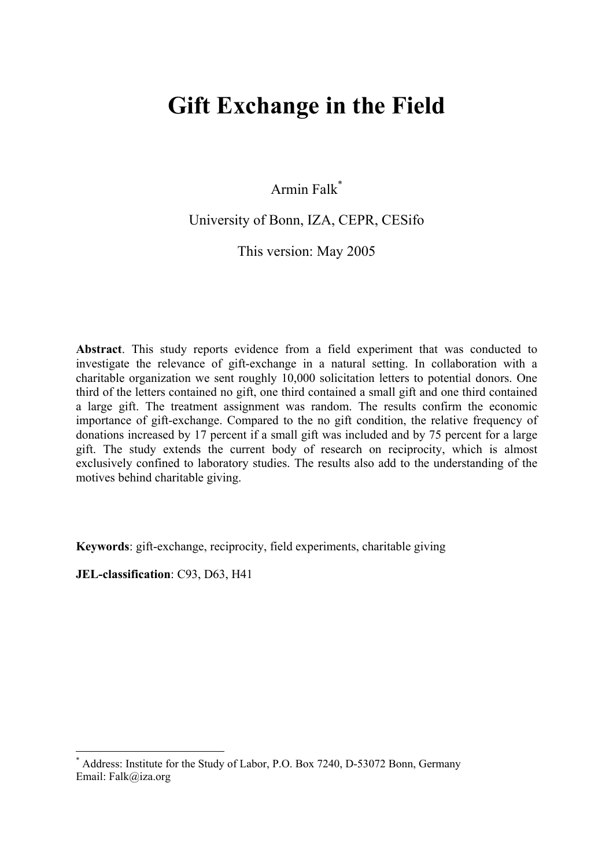# **Gift Exchange in the Field**

Armin Falk\*

## University of Bonn, IZA, CEPR, CESifo

This version: May 2005

**Abstract**. This study reports evidence from a field experiment that was conducted to investigate the relevance of gift-exchange in a natural setting. In collaboration with a charitable organization we sent roughly 10,000 solicitation letters to potential donors. One third of the letters contained no gift, one third contained a small gift and one third contained a large gift. The treatment assignment was random. The results confirm the economic importance of gift-exchange. Compared to the no gift condition, the relative frequency of donations increased by 17 percent if a small gift was included and by 75 percent for a large gift. The study extends the current body of research on reciprocity, which is almost exclusively confined to laboratory studies. The results also add to the understanding of the motives behind charitable giving.

**Keywords**: gift-exchange, reciprocity, field experiments, charitable giving

**JEL-classification**: C93, D63, H41

<sup>\*</sup> Address: Institute for the Study of Labor, P.O. Box 7240, D-53072 Bonn, Germany Email: Falk@iza.org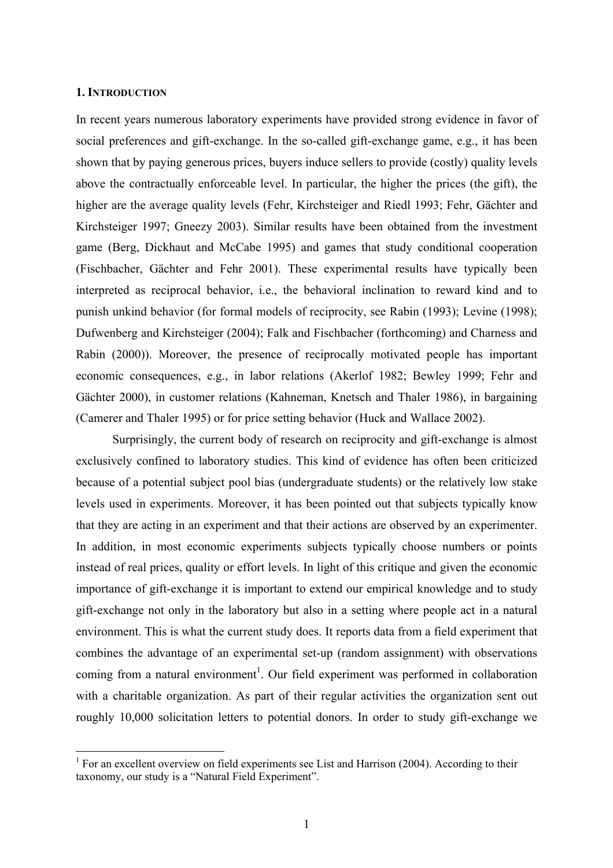### **1. INTRODUCTION**

 $\overline{a}$ 

In recent years numerous laboratory experiments have provided strong evidence in favor of social preferences and gift-exchange. In the so-called gift-exchange game, e.g., it has been shown that by paying generous prices, buyers induce sellers to provide (costly) quality levels above the contractually enforceable level. In particular, the higher the prices (the gift), the higher are the average quality levels (Fehr, Kirchsteiger and Riedl 1993; Fehr, Gächter and Kirchsteiger 1997; Gneezy 2003). Similar results have been obtained from the investment game (Berg, Dickhaut and McCabe 1995) and games that study conditional cooperation (Fischbacher, Gächter and Fehr 2001). These experimental results have typically been interpreted as reciprocal behavior, i.e., the behavioral inclination to reward kind and to punish unkind behavior (for formal models of reciprocity, see Rabin (1993); Levine (1998); Dufwenberg and Kirchsteiger (2004); Falk and Fischbacher (forthcoming) and Charness and Rabin (2000)). Moreover, the presence of reciprocally motivated people has important economic consequences, e.g., in labor relations (Akerlof 1982; Bewley 1999; Fehr and Gächter 2000), in customer relations (Kahneman, Knetsch and Thaler 1986), in bargaining (Camerer and Thaler 1995) or for price setting behavior (Huck and Wallace 2002).

 Surprisingly, the current body of research on reciprocity and gift-exchange is almost exclusively confined to laboratory studies. This kind of evidence has often been criticized because of a potential subject pool bias (undergraduate students) or the relatively low stake levels used in experiments. Moreover, it has been pointed out that subjects typically know that they are acting in an experiment and that their actions are observed by an experimenter. In addition, in most economic experiments subjects typically choose numbers or points instead of real prices, quality or effort levels. In light of this critique and given the economic importance of gift-exchange it is important to extend our empirical knowledge and to study gift-exchange not only in the laboratory but also in a setting where people act in a natural environment. This is what the current study does. It reports data from a field experiment that combines the advantage of an experimental set-up (random assignment) with observations coming from a natural environment<sup>1</sup>. Our field experiment was performed in collaboration with a charitable organization. As part of their regular activities the organization sent out roughly 10,000 solicitation letters to potential donors. In order to study gift-exchange we

<sup>&</sup>lt;sup>1</sup> For an excellent overview on field experiments see List and Harrison (2004). According to their taxonomy, our study is a "Natural Field Experiment".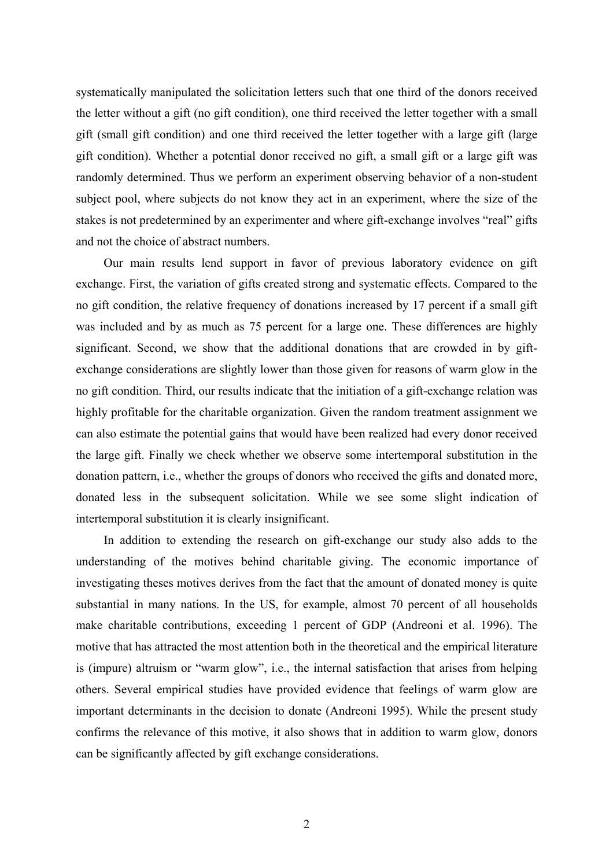systematically manipulated the solicitation letters such that one third of the donors received the letter without a gift (no gift condition), one third received the letter together with a small gift (small gift condition) and one third received the letter together with a large gift (large gift condition). Whether a potential donor received no gift, a small gift or a large gift was randomly determined. Thus we perform an experiment observing behavior of a non-student subject pool, where subjects do not know they act in an experiment, where the size of the stakes is not predetermined by an experimenter and where gift-exchange involves "real" gifts and not the choice of abstract numbers.

Our main results lend support in favor of previous laboratory evidence on gift exchange. First, the variation of gifts created strong and systematic effects. Compared to the no gift condition, the relative frequency of donations increased by 17 percent if a small gift was included and by as much as 75 percent for a large one. These differences are highly significant. Second, we show that the additional donations that are crowded in by giftexchange considerations are slightly lower than those given for reasons of warm glow in the no gift condition. Third, our results indicate that the initiation of a gift-exchange relation was highly profitable for the charitable organization. Given the random treatment assignment we can also estimate the potential gains that would have been realized had every donor received the large gift. Finally we check whether we observe some intertemporal substitution in the donation pattern, i.e., whether the groups of donors who received the gifts and donated more, donated less in the subsequent solicitation. While we see some slight indication of intertemporal substitution it is clearly insignificant.

In addition to extending the research on gift-exchange our study also adds to the understanding of the motives behind charitable giving. The economic importance of investigating theses motives derives from the fact that the amount of donated money is quite substantial in many nations. In the US, for example, almost 70 percent of all households make charitable contributions, exceeding 1 percent of GDP (Andreoni et al. 1996). The motive that has attracted the most attention both in the theoretical and the empirical literature is (impure) altruism or "warm glow", i.e., the internal satisfaction that arises from helping others. Several empirical studies have provided evidence that feelings of warm glow are important determinants in the decision to donate (Andreoni 1995). While the present study confirms the relevance of this motive, it also shows that in addition to warm glow, donors can be significantly affected by gift exchange considerations.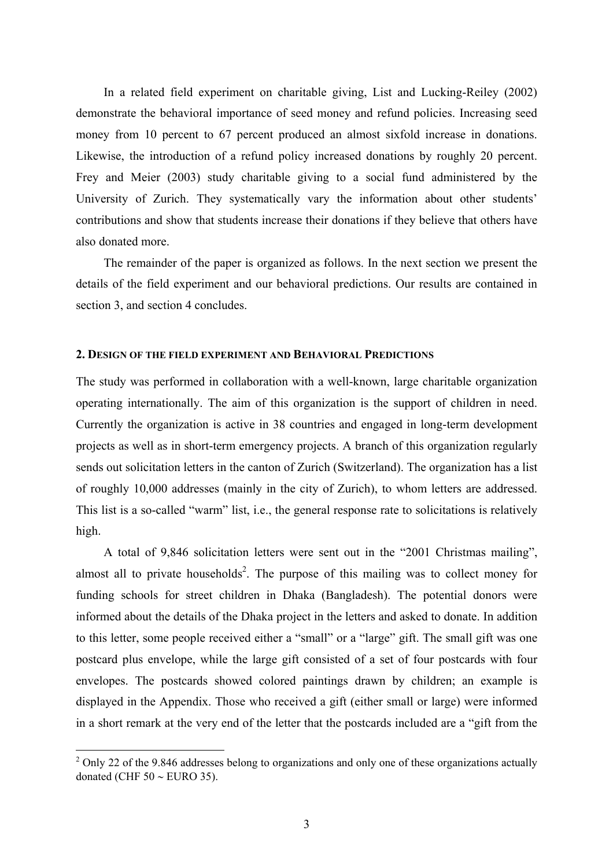In a related field experiment on charitable giving, List and Lucking-Reiley (2002) demonstrate the behavioral importance of seed money and refund policies. Increasing seed money from 10 percent to 67 percent produced an almost sixfold increase in donations. Likewise, the introduction of a refund policy increased donations by roughly 20 percent. Frey and Meier (2003) study charitable giving to a social fund administered by the University of Zurich. They systematically vary the information about other students' contributions and show that students increase their donations if they believe that others have also donated more.

The remainder of the paper is organized as follows. In the next section we present the details of the field experiment and our behavioral predictions. Our results are contained in section 3, and section 4 concludes.

### **2. DESIGN OF THE FIELD EXPERIMENT AND BEHAVIORAL PREDICTIONS**

The study was performed in collaboration with a well-known, large charitable organization operating internationally. The aim of this organization is the support of children in need. Currently the organization is active in 38 countries and engaged in long-term development projects as well as in short-term emergency projects. A branch of this organization regularly sends out solicitation letters in the canton of Zurich (Switzerland). The organization has a list of roughly 10,000 addresses (mainly in the city of Zurich), to whom letters are addressed. This list is a so-called "warm" list, i.e., the general response rate to solicitations is relatively high.

A total of 9,846 solicitation letters were sent out in the "2001 Christmas mailing", almost all to private households<sup>2</sup>. The purpose of this mailing was to collect money for funding schools for street children in Dhaka (Bangladesh). The potential donors were informed about the details of the Dhaka project in the letters and asked to donate. In addition to this letter, some people received either a "small" or a "large" gift. The small gift was one postcard plus envelope, while the large gift consisted of a set of four postcards with four envelopes. The postcards showed colored paintings drawn by children; an example is displayed in the Appendix. Those who received a gift (either small or large) were informed in a short remark at the very end of the letter that the postcards included are a "gift from the

 $2$  Only 22 of the 9.846 addresses belong to organizations and only one of these organizations actually donated (CHF  $50 \sim$  EURO 35).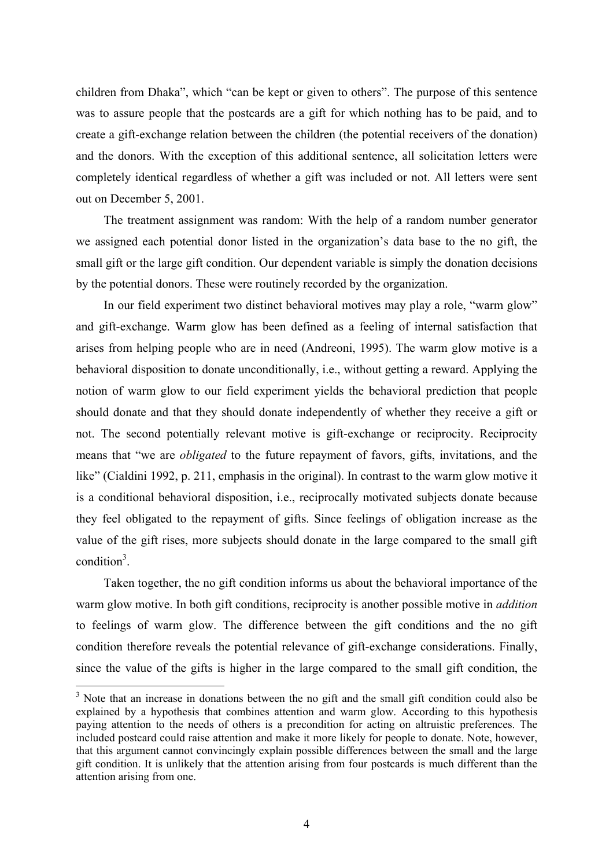children from Dhaka", which "can be kept or given to others". The purpose of this sentence was to assure people that the postcards are a gift for which nothing has to be paid, and to create a gift-exchange relation between the children (the potential receivers of the donation) and the donors. With the exception of this additional sentence, all solicitation letters were completely identical regardless of whether a gift was included or not. All letters were sent out on December 5, 2001.

The treatment assignment was random: With the help of a random number generator we assigned each potential donor listed in the organization's data base to the no gift, the small gift or the large gift condition. Our dependent variable is simply the donation decisions by the potential donors. These were routinely recorded by the organization.

In our field experiment two distinct behavioral motives may play a role, "warm glow" and gift-exchange. Warm glow has been defined as a feeling of internal satisfaction that arises from helping people who are in need (Andreoni, 1995). The warm glow motive is a behavioral disposition to donate unconditionally, i.e., without getting a reward. Applying the notion of warm glow to our field experiment yields the behavioral prediction that people should donate and that they should donate independently of whether they receive a gift or not. The second potentially relevant motive is gift-exchange or reciprocity. Reciprocity means that "we are *obligated* to the future repayment of favors, gifts, invitations, and the like" (Cialdini 1992, p. 211, emphasis in the original). In contrast to the warm glow motive it is a conditional behavioral disposition, i.e., reciprocally motivated subjects donate because they feel obligated to the repayment of gifts. Since feelings of obligation increase as the value of the gift rises, more subjects should donate in the large compared to the small gift condition<sup>3</sup>.

Taken together, the no gift condition informs us about the behavioral importance of the warm glow motive. In both gift conditions, reciprocity is another possible motive in *addition* to feelings of warm glow. The difference between the gift conditions and the no gift condition therefore reveals the potential relevance of gift-exchange considerations. Finally, since the value of the gifts is higher in the large compared to the small gift condition, the

<sup>&</sup>lt;sup>3</sup> Note that an increase in donations between the no gift and the small gift condition could also be explained by a hypothesis that combines attention and warm glow. According to this hypothesis paying attention to the needs of others is a precondition for acting on altruistic preferences. The included postcard could raise attention and make it more likely for people to donate. Note, however, that this argument cannot convincingly explain possible differences between the small and the large gift condition. It is unlikely that the attention arising from four postcards is much different than the attention arising from one.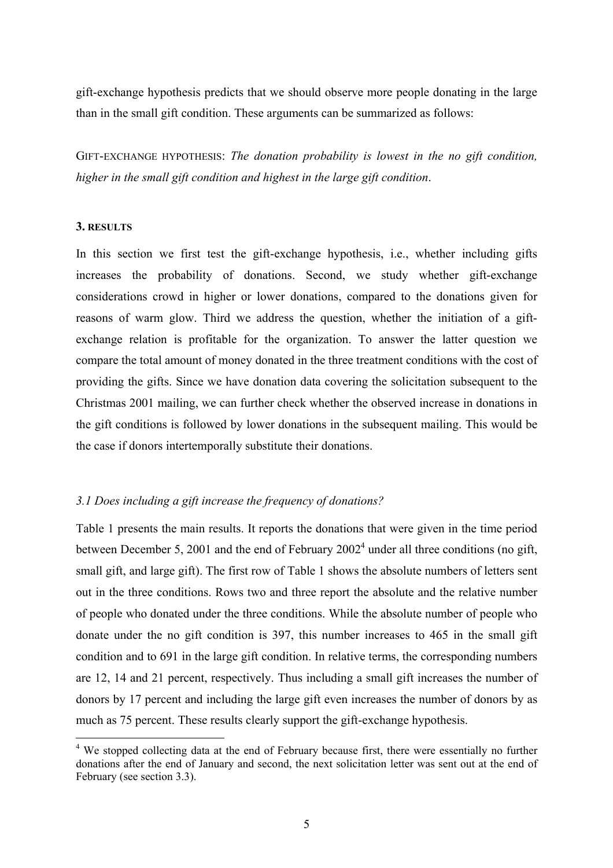gift-exchange hypothesis predicts that we should observe more people donating in the large than in the small gift condition. These arguments can be summarized as follows:

GIFT-EXCHANGE HYPOTHESIS: *The donation probability is lowest in the no gift condition, higher in the small gift condition and highest in the large gift condition*.

## **3. RESULTS**

 $\overline{a}$ 

In this section we first test the gift-exchange hypothesis, i.e., whether including gifts increases the probability of donations. Second, we study whether gift-exchange considerations crowd in higher or lower donations, compared to the donations given for reasons of warm glow. Third we address the question, whether the initiation of a giftexchange relation is profitable for the organization. To answer the latter question we compare the total amount of money donated in the three treatment conditions with the cost of providing the gifts. Since we have donation data covering the solicitation subsequent to the Christmas 2001 mailing, we can further check whether the observed increase in donations in the gift conditions is followed by lower donations in the subsequent mailing. This would be the case if donors intertemporally substitute their donations.

## *3.1 Does including a gift increase the frequency of donations?*

Table 1 presents the main results. It reports the donations that were given in the time period between December 5, 2001 and the end of February  $2002<sup>4</sup>$  under all three conditions (no gift, small gift, and large gift). The first row of Table 1 shows the absolute numbers of letters sent out in the three conditions. Rows two and three report the absolute and the relative number of people who donated under the three conditions. While the absolute number of people who donate under the no gift condition is 397, this number increases to 465 in the small gift condition and to 691 in the large gift condition. In relative terms, the corresponding numbers are 12, 14 and 21 percent, respectively. Thus including a small gift increases the number of donors by 17 percent and including the large gift even increases the number of donors by as much as 75 percent. These results clearly support the gift-exchange hypothesis.

<sup>&</sup>lt;sup>4</sup> We stopped collecting data at the end of February because first, there were essentially no further donations after the end of January and second, the next solicitation letter was sent out at the end of February (see section 3.3).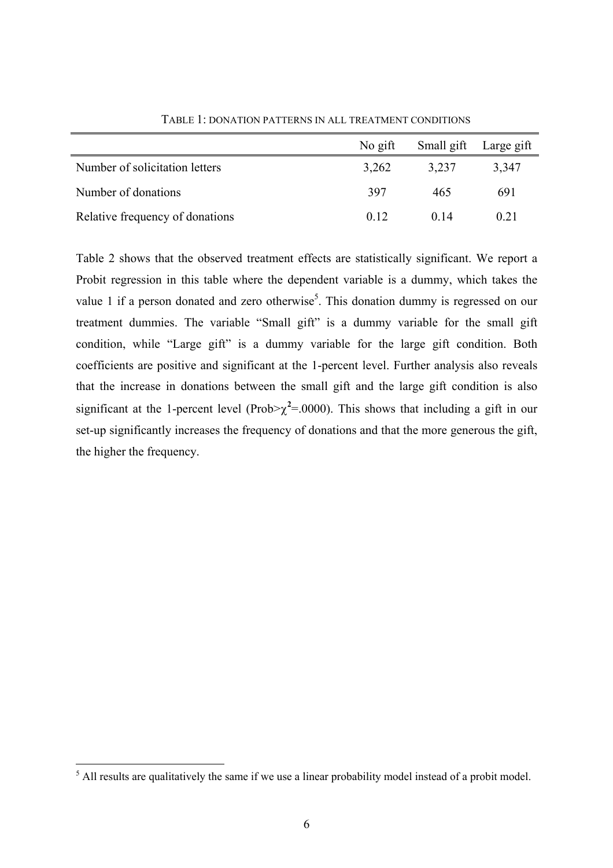|                                 | No gift | Small gift Large gift |       |
|---------------------------------|---------|-----------------------|-------|
| Number of solicitation letters  | 3,262   | 3,237                 | 3,347 |
| Number of donations             | 397     | 465                   | 691   |
| Relative frequency of donations | 0.12    | 0 <sup>14</sup>       | 0.21  |

TABLE 1: DONATION PATTERNS IN ALL TREATMENT CONDITIONS

Table 2 shows that the observed treatment effects are statistically significant. We report a Probit regression in this table where the dependent variable is a dummy, which takes the value 1 if a person donated and zero otherwise<sup>5</sup>. This donation dummy is regressed on our treatment dummies. The variable "Small gift" is a dummy variable for the small gift condition, while "Large gift" is a dummy variable for the large gift condition. Both coefficients are positive and significant at the 1-percent level. Further analysis also reveals that the increase in donations between the small gift and the large gift condition is also significant at the 1-percent level (Prob $\geq \chi^2 = 0.000$ ). This shows that including a gift in our set-up significantly increases the frequency of donations and that the more generous the gift, the higher the frequency.

<sup>&</sup>lt;sup>5</sup> All results are qualitatively the same if we use a linear probability model instead of a probit model.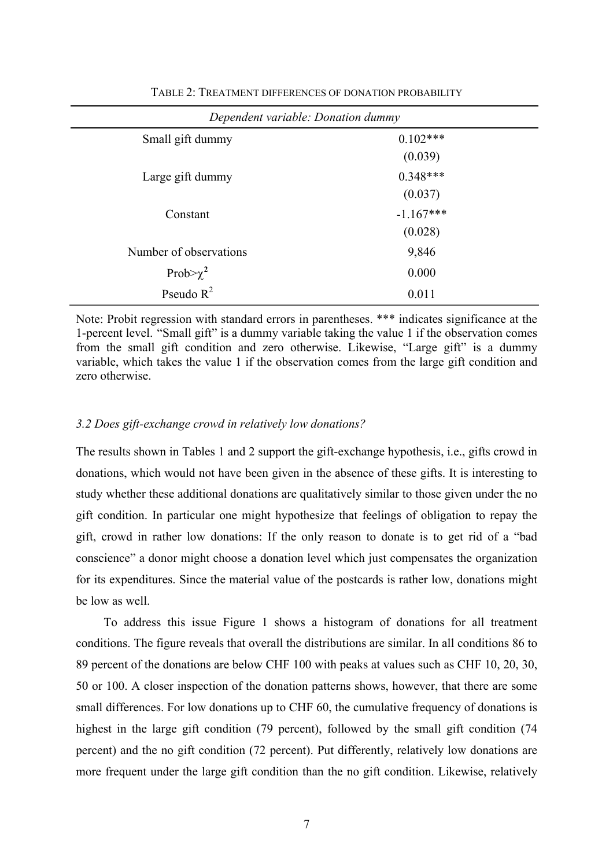| Dependent variable: Donation dummy |             |  |  |  |
|------------------------------------|-------------|--|--|--|
| Small gift dummy                   | $0.102***$  |  |  |  |
|                                    | (0.039)     |  |  |  |
| Large gift dummy                   | $0.348***$  |  |  |  |
|                                    | (0.037)     |  |  |  |
| Constant                           | $-1.167***$ |  |  |  |
|                                    | (0.028)     |  |  |  |
| Number of observations             | 9,846       |  |  |  |
| Prob $>\chi^2$                     | 0.000       |  |  |  |
| Pseudo $R^2$                       | 0.011       |  |  |  |

TABLE 2: TREATMENT DIFFERENCES OF DONATION PROBABILITY

Note: Probit regression with standard errors in parentheses. \*\*\* indicates significance at the 1-percent level. "Small gift" is a dummy variable taking the value 1 if the observation comes from the small gift condition and zero otherwise. Likewise, "Large gift" is a dummy variable, which takes the value 1 if the observation comes from the large gift condition and zero otherwise.

## *3.2 Does gift-exchange crowd in relatively low donations?*

The results shown in Tables 1 and 2 support the gift-exchange hypothesis, i.e., gifts crowd in donations, which would not have been given in the absence of these gifts. It is interesting to study whether these additional donations are qualitatively similar to those given under the no gift condition. In particular one might hypothesize that feelings of obligation to repay the gift, crowd in rather low donations: If the only reason to donate is to get rid of a "bad conscience" a donor might choose a donation level which just compensates the organization for its expenditures. Since the material value of the postcards is rather low, donations might be low as well.

To address this issue Figure 1 shows a histogram of donations for all treatment conditions. The figure reveals that overall the distributions are similar. In all conditions 86 to 89 percent of the donations are below CHF 100 with peaks at values such as CHF 10, 20, 30, 50 or 100. A closer inspection of the donation patterns shows, however, that there are some small differences. For low donations up to CHF 60, the cumulative frequency of donations is highest in the large gift condition (79 percent), followed by the small gift condition (74 percent) and the no gift condition (72 percent). Put differently, relatively low donations are more frequent under the large gift condition than the no gift condition. Likewise, relatively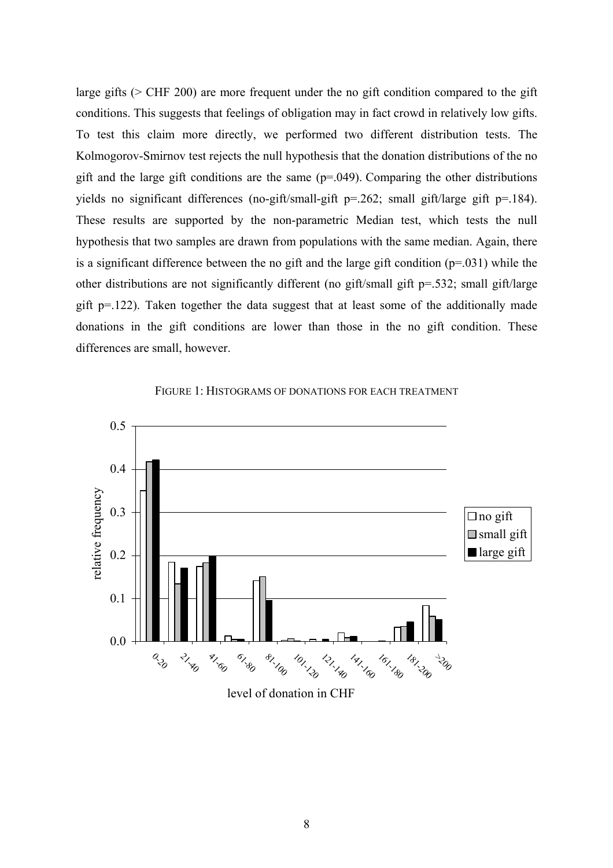large gifts (> CHF 200) are more frequent under the no gift condition compared to the gift conditions. This suggests that feelings of obligation may in fact crowd in relatively low gifts. To test this claim more directly, we performed two different distribution tests. The Kolmogorov-Smirnov test rejects the null hypothesis that the donation distributions of the no gift and the large gift conditions are the same  $(p=0.049)$ . Comparing the other distributions yields no significant differences (no-gift/small-gift p=.262; small gift/large gift p=.184). These results are supported by the non-parametric Median test, which tests the null hypothesis that two samples are drawn from populations with the same median. Again, there is a significant difference between the no gift and the large gift condition  $(p=0.031)$  while the other distributions are not significantly different (no gift/small gift p=.532; small gift/large gift p=.122). Taken together the data suggest that at least some of the additionally made donations in the gift conditions are lower than those in the no gift condition. These differences are small, however.



FIGURE 1: HISTOGRAMS OF DONATIONS FOR EACH TREATMENT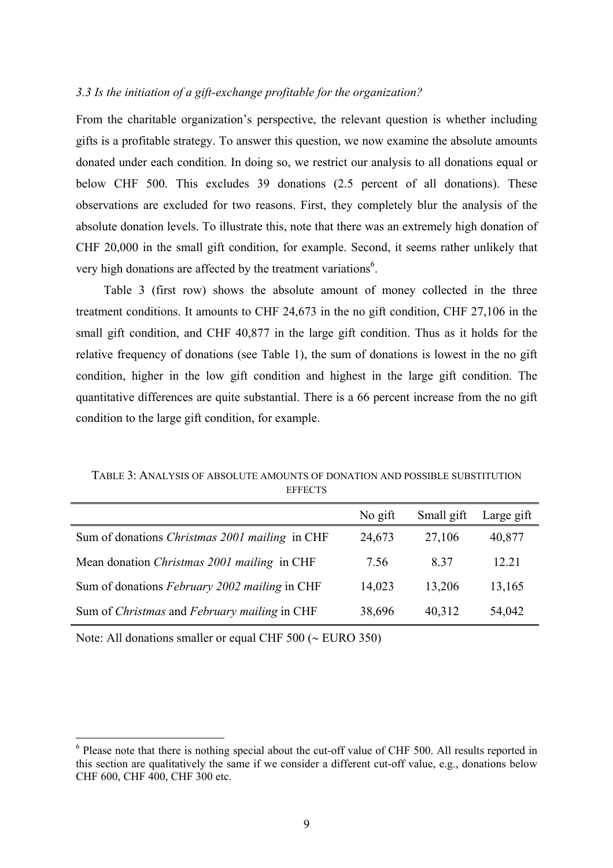## *3.3 Is the initiation of a gift-exchange profitable for the organization?*

From the charitable organization's perspective, the relevant question is whether including gifts is a profitable strategy. To answer this question, we now examine the absolute amounts donated under each condition. In doing so, we restrict our analysis to all donations equal or below CHF 500. This excludes 39 donations (2.5 percent of all donations). These observations are excluded for two reasons. First, they completely blur the analysis of the absolute donation levels. To illustrate this, note that there was an extremely high donation of CHF 20,000 in the small gift condition, for example. Second, it seems rather unlikely that very high donations are affected by the treatment variations<sup>6</sup>.

Table 3 (first row) shows the absolute amount of money collected in the three treatment conditions. It amounts to CHF 24,673 in the no gift condition, CHF 27,106 in the small gift condition, and CHF 40,877 in the large gift condition. Thus as it holds for the relative frequency of donations (see Table 1), the sum of donations is lowest in the no gift condition, higher in the low gift condition and highest in the large gift condition. The quantitative differences are quite substantial. There is a 66 percent increase from the no gift condition to the large gift condition, for example.

|                                                            | No gift | Small gift | Large gift |
|------------------------------------------------------------|---------|------------|------------|
| Sum of donations <i>Christmas</i> 2001 mailing in CHF      | 24,673  | 27,106     | 40,877     |
| Mean donation Christmas 2001 mailing in CHF                | 7.56    | 837        | 12 21      |
| Sum of donations February 2002 mailing in CHF              | 14,023  | 13,206     | 13,165     |
| Sum of <i>Christmas</i> and <i>February mailing</i> in CHF | 38,696  | 40,312     | 54,042     |

TABLE 3: ANALYSIS OF ABSOLUTE AMOUNTS OF DONATION AND POSSIBLE SUBSTITUTION **EFFECTS** 

Note: All donations smaller or equal CHF 500 (∼ EURO 350)

<sup>&</sup>lt;sup>6</sup> Please note that there is nothing special about the cut-off value of CHF 500. All results reported in this section are qualitatively the same if we consider a different cut-off value, e.g., donations below CHF 600, CHF 400, CHF 300 etc.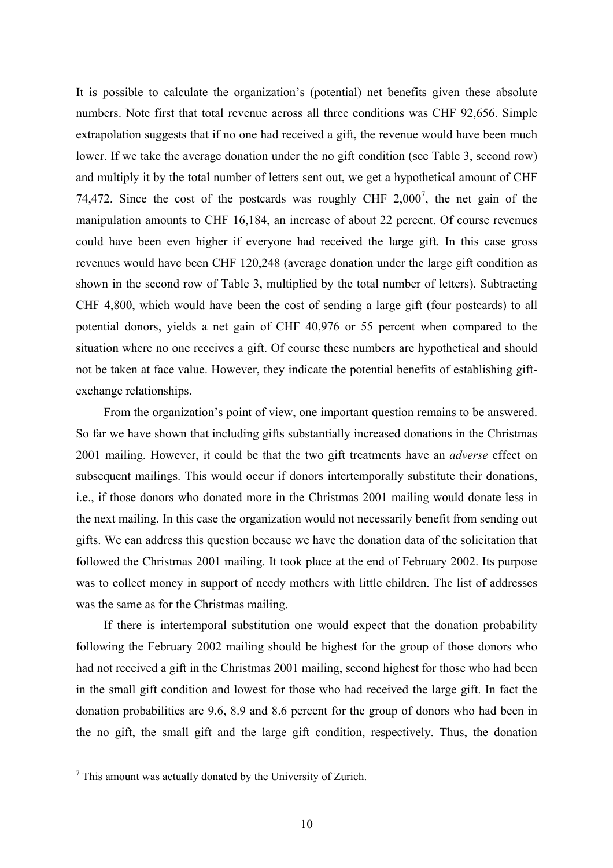It is possible to calculate the organization's (potential) net benefits given these absolute numbers. Note first that total revenue across all three conditions was CHF 92,656. Simple extrapolation suggests that if no one had received a gift, the revenue would have been much lower. If we take the average donation under the no gift condition (see Table 3, second row) and multiply it by the total number of letters sent out, we get a hypothetical amount of CHF 74,472. Since the cost of the postcards was roughly CHF  $2,000^7$ , the net gain of the manipulation amounts to CHF 16,184, an increase of about 22 percent. Of course revenues could have been even higher if everyone had received the large gift. In this case gross revenues would have been CHF 120,248 (average donation under the large gift condition as shown in the second row of Table 3, multiplied by the total number of letters). Subtracting CHF 4,800, which would have been the cost of sending a large gift (four postcards) to all potential donors, yields a net gain of CHF 40,976 or 55 percent when compared to the situation where no one receives a gift. Of course these numbers are hypothetical and should not be taken at face value. However, they indicate the potential benefits of establishing giftexchange relationships.

From the organization's point of view, one important question remains to be answered. So far we have shown that including gifts substantially increased donations in the Christmas 2001 mailing. However, it could be that the two gift treatments have an *adverse* effect on subsequent mailings. This would occur if donors intertemporally substitute their donations, i.e., if those donors who donated more in the Christmas 2001 mailing would donate less in the next mailing. In this case the organization would not necessarily benefit from sending out gifts. We can address this question because we have the donation data of the solicitation that followed the Christmas 2001 mailing. It took place at the end of February 2002. Its purpose was to collect money in support of needy mothers with little children. The list of addresses was the same as for the Christmas mailing.

If there is intertemporal substitution one would expect that the donation probability following the February 2002 mailing should be highest for the group of those donors who had not received a gift in the Christmas 2001 mailing, second highest for those who had been in the small gift condition and lowest for those who had received the large gift. In fact the donation probabilities are 9.6, 8.9 and 8.6 percent for the group of donors who had been in the no gift, the small gift and the large gift condition, respectively. Thus, the donation

 $7$  This amount was actually donated by the University of Zurich.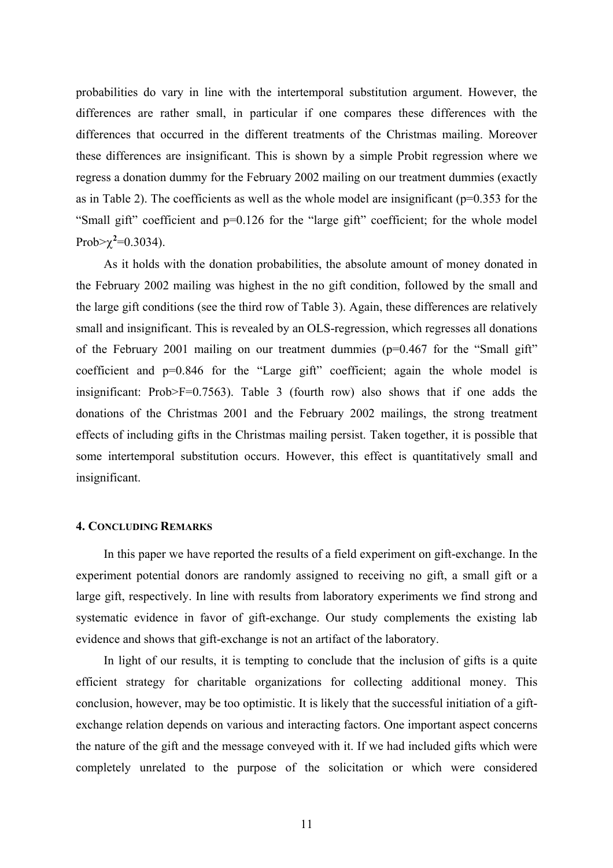probabilities do vary in line with the intertemporal substitution argument. However, the differences are rather small, in particular if one compares these differences with the differences that occurred in the different treatments of the Christmas mailing. Moreover these differences are insignificant. This is shown by a simple Probit regression where we regress a donation dummy for the February 2002 mailing on our treatment dummies (exactly as in Table 2). The coefficients as well as the whole model are insignificant ( $p=0.353$  for the "Small gift" coefficient and p=0.126 for the "large gift" coefficient; for the whole model Prob> $\chi^2$ =0.3034).

As it holds with the donation probabilities, the absolute amount of money donated in the February 2002 mailing was highest in the no gift condition, followed by the small and the large gift conditions (see the third row of Table 3). Again, these differences are relatively small and insignificant. This is revealed by an OLS-regression, which regresses all donations of the February 2001 mailing on our treatment dummies (p=0.467 for the "Small gift" coefficient and p=0.846 for the "Large gift" coefficient; again the whole model is insignificant: Prob>F=0.7563). Table 3 (fourth row) also shows that if one adds the donations of the Christmas 2001 and the February 2002 mailings, the strong treatment effects of including gifts in the Christmas mailing persist. Taken together, it is possible that some intertemporal substitution occurs. However, this effect is quantitatively small and insignificant.

#### **4. CONCLUDING REMARKS**

In this paper we have reported the results of a field experiment on gift-exchange. In the experiment potential donors are randomly assigned to receiving no gift, a small gift or a large gift, respectively. In line with results from laboratory experiments we find strong and systematic evidence in favor of gift-exchange. Our study complements the existing lab evidence and shows that gift-exchange is not an artifact of the laboratory.

In light of our results, it is tempting to conclude that the inclusion of gifts is a quite efficient strategy for charitable organizations for collecting additional money. This conclusion, however, may be too optimistic. It is likely that the successful initiation of a giftexchange relation depends on various and interacting factors. One important aspect concerns the nature of the gift and the message conveyed with it. If we had included gifts which were completely unrelated to the purpose of the solicitation or which were considered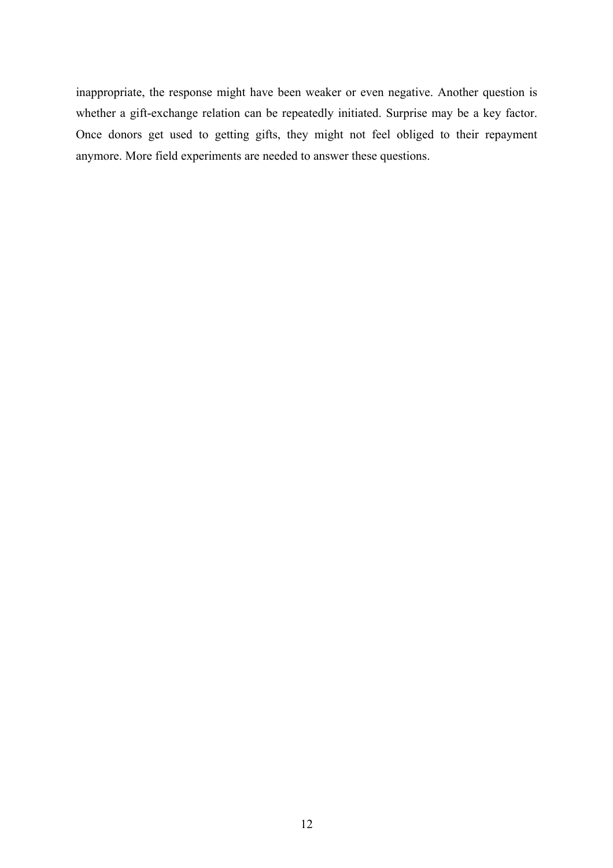inappropriate, the response might have been weaker or even negative. Another question is whether a gift-exchange relation can be repeatedly initiated. Surprise may be a key factor. Once donors get used to getting gifts, they might not feel obliged to their repayment anymore. More field experiments are needed to answer these questions.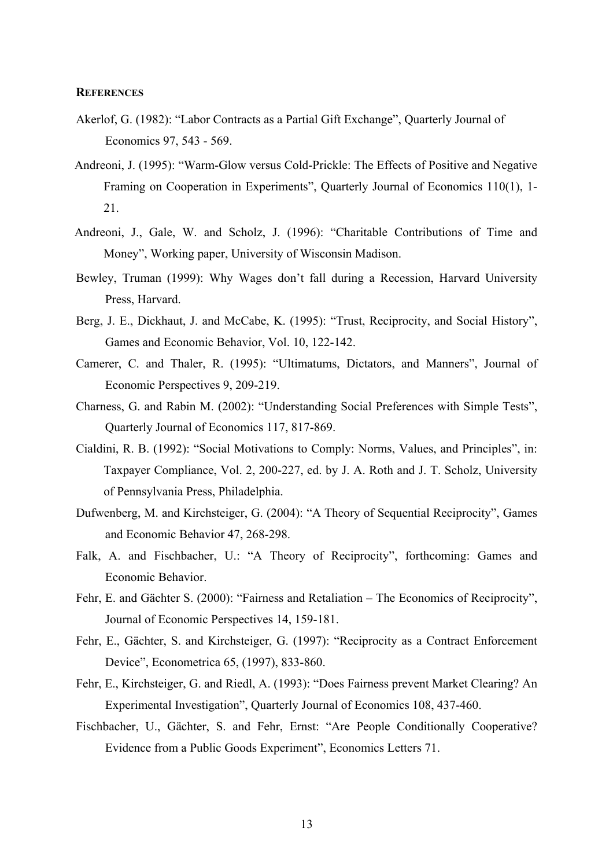#### **REFERENCES**

- Akerlof, G. (1982): "Labor Contracts as a Partial Gift Exchange", Quarterly Journal of Economics 97, 543 - 569.
- Andreoni, J. (1995): "Warm-Glow versus Cold-Prickle: The Effects of Positive and Negative Framing on Cooperation in Experiments", Quarterly Journal of Economics 110(1), 1- 21.
- Andreoni, J., Gale, W. and Scholz, J. (1996): "Charitable Contributions of Time and Money", Working paper, University of Wisconsin Madison.
- Bewley, Truman (1999): Why Wages don't fall during a Recession, Harvard University Press, Harvard.
- Berg, J. E., Dickhaut, J. and McCabe, K. (1995): "Trust, Reciprocity, and Social History", Games and Economic Behavior, Vol. 10, 122-142.
- Camerer, C. and Thaler, R. (1995): "Ultimatums, Dictators, and Manners", Journal of Economic Perspectives 9, 209-219.
- Charness, G. and Rabin M. (2002): "Understanding Social Preferences with Simple Tests", Quarterly Journal of Economics 117, 817-869.
- Cialdini, R. B. (1992): "Social Motivations to Comply: Norms, Values, and Principles", in: Taxpayer Compliance, Vol. 2, 200-227, ed. by J. A. Roth and J. T. Scholz, University of Pennsylvania Press, Philadelphia.
- Dufwenberg, M. and Kirchsteiger, G. (2004): "A Theory of Sequential Reciprocity", Games and Economic Behavior 47, 268-298.
- Falk, A. and Fischbacher, U.: "A Theory of Reciprocity", forthcoming: Games and Economic Behavior.
- Fehr, E. and Gächter S. (2000): "Fairness and Retaliation The Economics of Reciprocity", Journal of Economic Perspectives 14, 159-181.
- Fehr, E., Gächter, S. and Kirchsteiger, G. (1997): "Reciprocity as a Contract Enforcement Device", Econometrica 65, (1997), 833-860.
- Fehr, E., Kirchsteiger, G. and Riedl, A. (1993): "Does Fairness prevent Market Clearing? An Experimental Investigation", Quarterly Journal of Economics 108, 437-460.
- Fischbacher, U., Gächter, S. and Fehr, Ernst: "Are People Conditionally Cooperative? Evidence from a Public Goods Experiment", Economics Letters 71.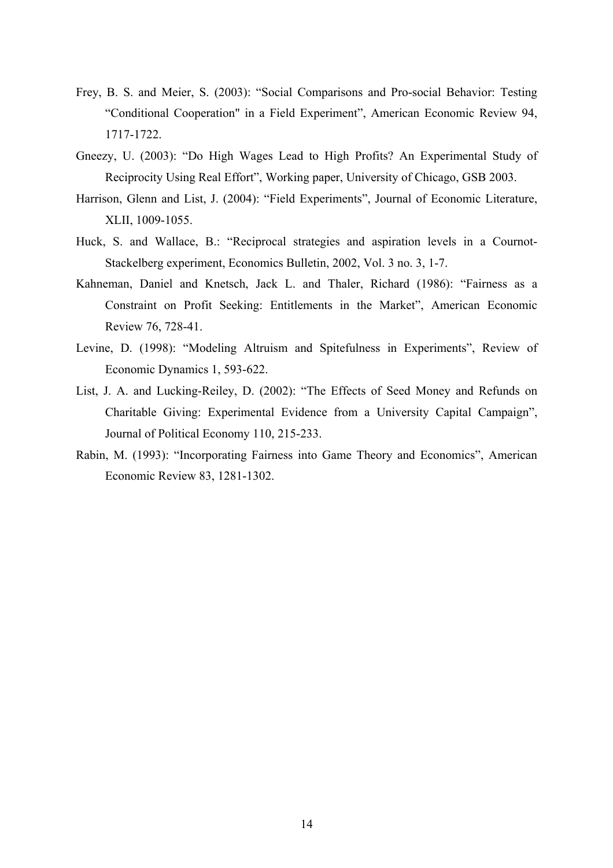- Frey, B. S. and Meier, S. (2003): "Social Comparisons and Pro-social Behavior: Testing "Conditional Cooperation" in a Field Experiment", American Economic Review 94, 1717-1722.
- Gneezy, U. (2003): "Do High Wages Lead to High Profits? An Experimental Study of Reciprocity Using Real Effort", Working paper, University of Chicago, GSB 2003.
- Harrison, Glenn and List, J. (2004): "Field Experiments", Journal of Economic Literature, XLII, 1009-1055.
- Huck, S. and Wallace, B.: "Reciprocal strategies and aspiration levels in a Cournot-Stackelberg experiment, Economics Bulletin, 2002, Vol. 3 no. 3, 1-7.
- Kahneman, Daniel and Knetsch, Jack L. and Thaler, Richard (1986): "Fairness as a Constraint on Profit Seeking: Entitlements in the Market", American Economic Review 76, 728-41.
- Levine, D. (1998): "Modeling Altruism and Spitefulness in Experiments", Review of Economic Dynamics 1, 593-622.
- List, J. A. and Lucking-Reiley, D. (2002): "The Effects of Seed Money and Refunds on Charitable Giving: Experimental Evidence from a University Capital Campaign", Journal of Political Economy 110, 215-233.
- Rabin, M. (1993): "Incorporating Fairness into Game Theory and Economics", American Economic Review 83, 1281-1302.